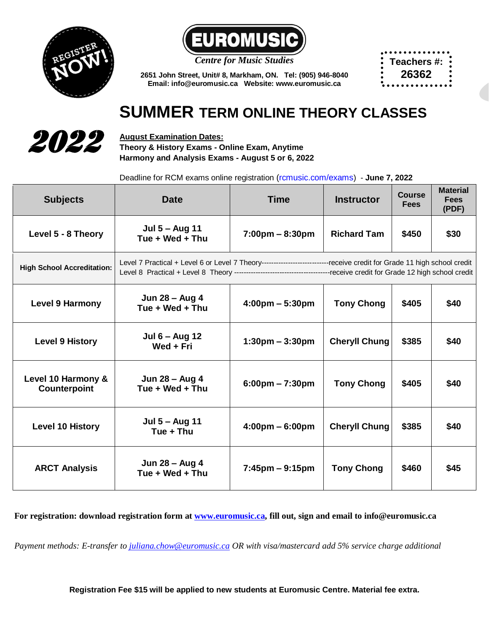



*Centre for Music Studies*

**Teachers #: 26362**

**2651 John Street, Unit# 8, Markham, ON. Tel: (905) 946-8040 Email[: info@euromusic.ca](mailto:info@euromusic.ca) Website: www.euromusic.ca**

## **SUMMER TERM ONLINE THEORY CLASSES**



**August Examination Dates: Theory & History Exams - Online Exam, Anytime Harmony and Analysis Exams - August 5 or 6, 2022**

Deadline for RCM exams online registration [\(rcmusic.com/exams](http://www.rcmexminations.org/)) - **June 7, 2022**

| <b>Subjects</b>                    | Date                                                                                                                     | <b>Time</b>                       | <b>Instructor</b>    | Course<br><b>Fees</b> | <b>Material</b><br><b>Fees</b><br>(PDF) |
|------------------------------------|--------------------------------------------------------------------------------------------------------------------------|-----------------------------------|----------------------|-----------------------|-----------------------------------------|
| Level 5 - 8 Theory                 | Jul 5 - Aug 11<br>Tue + Wed + Thu                                                                                        | 7:00pm - 8:30pm                   | <b>Richard Tam</b>   | \$450                 | \$30                                    |
| <b>High School Accreditation:</b>  | Level 7 Practical + Level 6 or Level 7 Theory-----------------------------receive credit for Grade 11 high school credit |                                   |                      |                       |                                         |
| <b>Level 9 Harmony</b>             | Jun 28 - Aug 4<br>Tue + Wed + Thu                                                                                        | $4:00 \text{pm} - 5:30 \text{pm}$ | <b>Tony Chong</b>    | \$405                 | \$40                                    |
| <b>Level 9 History</b>             | Jul 6 – Aug 12<br>Wed + Fri                                                                                              | $1:30 \text{pm} - 3:30 \text{pm}$ | <b>Cheryll Chung</b> | \$385                 | \$40                                    |
| Level 10 Harmony &<br>Counterpoint | Jun 28 - Aug 4<br>Tue + Wed + Thu                                                                                        | $6:00 \text{pm} - 7:30 \text{pm}$ | <b>Tony Chong</b>    | \$405                 | \$40                                    |
| <b>Level 10 History</b>            | Jul 5 - Aug 11<br>Tue + Thu                                                                                              | $4:00 \text{pm} - 6:00 \text{pm}$ | <b>Cheryll Chung</b> | \$385                 | \$40                                    |
| <b>ARCT Analysis</b>               | Jun 28 - Aug 4<br>Tue + Wed + Thu                                                                                        | $7:45$ pm – 9:15pm                | <b>Tony Chong</b>    | \$460                 | \$45                                    |

**For registration: download registration form at [www.euromusic.ca,](http://www.euromusic.ca/) fill out, sign and email to info@euromusic.ca**

*Payment methods: E-transfer t[o juliana.chow@euromusic.ca](mailto:juliana.chow@euromusic.ca) OR with visa/mastercard add 5% service charge additional*

**Registration Fee \$15 will be applied to new students at Euromusic Centre. Material fee extra.**